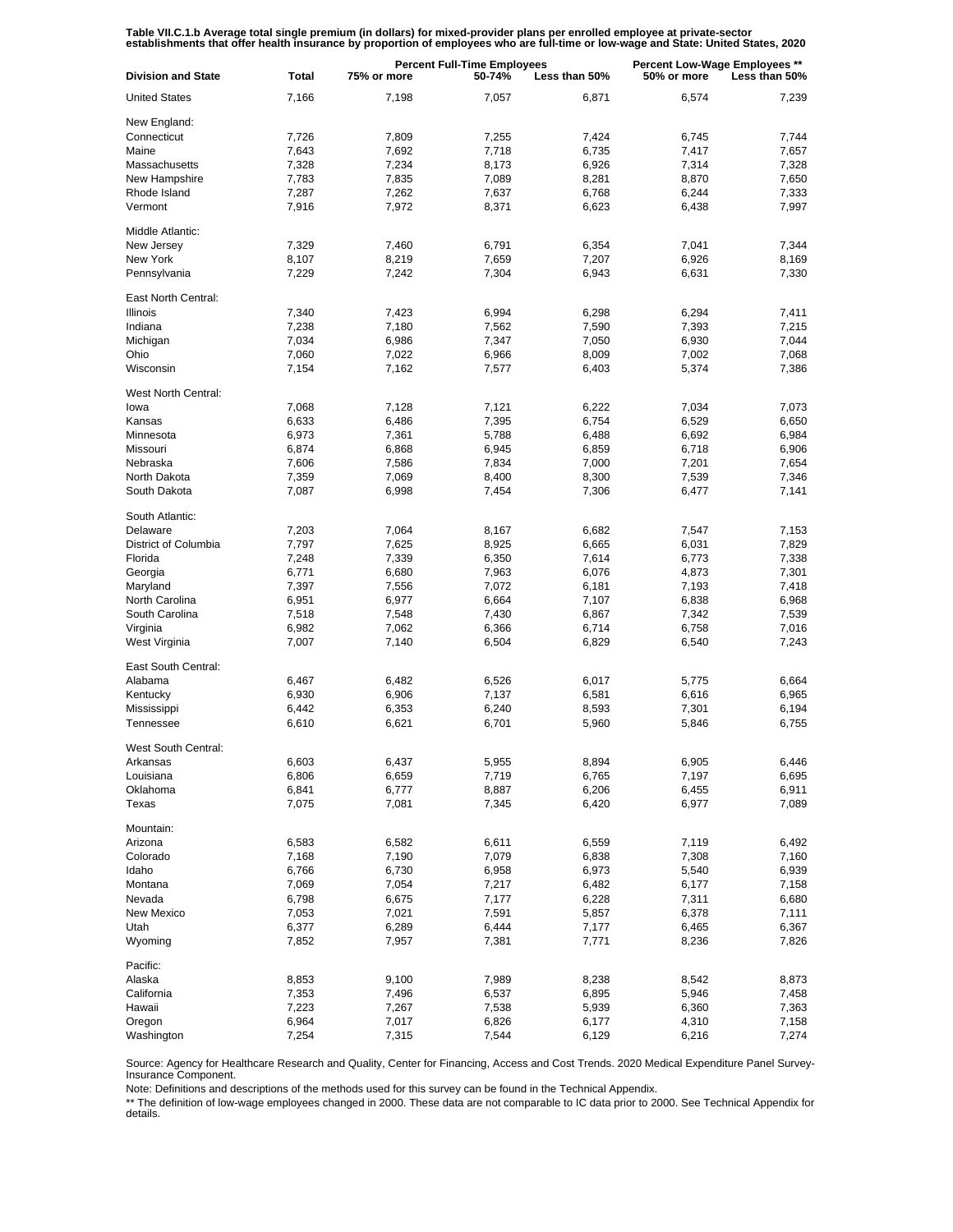Table VII.C.1.b Average total single premium (in dollars) for mixed-provider plans per enrolled employee at private-sector<br>establishments that offer health insurance by proportion of employees who are full-time or low-wage

| <b>Division and State</b> | Total | <b>Percent Full-Time Employees</b><br>75% or more<br>50-74%<br>Less than 50% |       |       | <b>Percent Low-Wage Employees **</b><br>50% or more<br>Less than 50% |       |
|---------------------------|-------|------------------------------------------------------------------------------|-------|-------|----------------------------------------------------------------------|-------|
| <b>United States</b>      | 7,166 | 7,198                                                                        | 7,057 | 6,871 | 6,574                                                                | 7,239 |
| New England:              |       |                                                                              |       |       |                                                                      |       |
| Connecticut               | 7,726 | 7,809                                                                        | 7,255 | 7,424 | 6,745                                                                | 7.744 |
| Maine                     |       |                                                                              |       |       |                                                                      |       |
|                           | 7,643 | 7,692                                                                        | 7,718 | 6,735 | 7,417                                                                | 7,657 |
| Massachusetts             | 7,328 | 7,234                                                                        | 8,173 | 6,926 | 7,314                                                                | 7,328 |
| New Hampshire             | 7,783 | 7,835                                                                        | 7,089 | 8,281 | 8,870                                                                | 7,650 |
| Rhode Island              | 7,287 | 7,262                                                                        | 7,637 | 6,768 | 6,244                                                                | 7,333 |
| Vermont                   | 7,916 | 7,972                                                                        | 8,371 | 6,623 | 6,438                                                                | 7,997 |
| Middle Atlantic:          |       |                                                                              |       |       |                                                                      |       |
| New Jersey                | 7,329 | 7,460                                                                        | 6,791 | 6,354 | 7,041                                                                | 7,344 |
| New York                  | 8,107 | 8,219                                                                        | 7,659 | 7,207 | 6,926                                                                | 8,169 |
| Pennsylvania              | 7,229 | 7,242                                                                        | 7,304 | 6,943 | 6,631                                                                | 7,330 |
| East North Central:       |       |                                                                              |       |       |                                                                      |       |
| Illinois                  | 7,340 | 7,423                                                                        | 6,994 | 6,298 | 6,294                                                                | 7,411 |
| Indiana                   | 7,238 | 7,180                                                                        | 7,562 | 7,590 | 7,393                                                                | 7,215 |
| Michigan                  | 7,034 | 6,986                                                                        | 7,347 | 7,050 | 6,930                                                                | 7,044 |
|                           |       |                                                                              |       |       |                                                                      |       |
| Ohio                      | 7,060 | 7,022                                                                        | 6,966 | 8,009 | 7,002                                                                | 7,068 |
| Wisconsin                 | 7,154 | 7,162                                                                        | 7,577 | 6,403 | 5,374                                                                | 7,386 |
| West North Central:       |       |                                                                              |       |       |                                                                      |       |
| lowa                      | 7,068 | 7,128                                                                        | 7,121 | 6,222 | 7,034                                                                | 7,073 |
| Kansas                    | 6,633 | 6,486                                                                        | 7,395 | 6,754 | 6,529                                                                | 6,650 |
| Minnesota                 | 6,973 | 7,361                                                                        | 5,788 | 6,488 | 6,692                                                                | 6,984 |
| Missouri                  | 6,874 | 6,868                                                                        | 6,945 | 6,859 | 6,718                                                                | 6,906 |
| Nebraska                  | 7,606 | 7,586                                                                        | 7,834 | 7,000 | 7,201                                                                | 7,654 |
| North Dakota              | 7,359 | 7,069                                                                        | 8,400 | 8,300 | 7,539                                                                | 7,346 |
| South Dakota              | 7,087 | 6,998                                                                        | 7,454 | 7,306 | 6,477                                                                | 7,141 |
|                           |       |                                                                              |       |       |                                                                      |       |
| South Atlantic:           |       |                                                                              |       |       |                                                                      |       |
| Delaware                  | 7,203 | 7,064                                                                        | 8,167 | 6,682 | 7,547                                                                | 7,153 |
| District of Columbia      | 7,797 | 7,625                                                                        | 8,925 | 6,665 | 6,031                                                                | 7,829 |
| Florida                   | 7,248 | 7,339                                                                        | 6,350 | 7,614 | 6,773                                                                | 7,338 |
| Georgia                   | 6,771 | 6,680                                                                        | 7,963 | 6,076 | 4,873                                                                | 7,301 |
| Maryland                  | 7,397 | 7,556                                                                        | 7,072 | 6,181 | 7,193                                                                | 7,418 |
| North Carolina            | 6,951 | 6,977                                                                        | 6,664 | 7,107 | 6,838                                                                | 6,968 |
| South Carolina            | 7,518 | 7,548                                                                        | 7,430 | 6,867 | 7,342                                                                | 7,539 |
| Virginia                  | 6,982 | 7,062                                                                        | 6,366 | 6,714 | 6,758                                                                | 7,016 |
| West Virginia             | 7,007 | 7,140                                                                        | 6,504 | 6,829 | 6,540                                                                | 7,243 |
| East South Central:       |       |                                                                              |       |       |                                                                      |       |
|                           |       |                                                                              |       |       |                                                                      |       |
| Alabama                   | 6,467 | 6,482                                                                        | 6,526 | 6,017 | 5,775                                                                | 6,664 |
| Kentucky                  | 6,930 | 6,906                                                                        | 7,137 | 6,581 | 6,616                                                                | 6,965 |
| Mississippi               | 6,442 | 6,353                                                                        | 6,240 | 8,593 | 7,301                                                                | 6,194 |
| Tennessee                 | 6,610 | 6,621                                                                        | 6,701 | 5,960 | 5,846                                                                | 6,755 |
| West South Central:       |       |                                                                              |       |       |                                                                      |       |
| Arkansas                  | 6,603 | 6,437                                                                        | 5,955 | 8,894 | 6,905                                                                | 6,446 |
| Louisiana                 | 6,806 | 6,659                                                                        | 7,719 | 6,765 | 7,197                                                                | 6,695 |
| Oklahoma                  | 6,841 | 6,777                                                                        | 8,887 | 6,206 | 6,455                                                                | 6,911 |
| Texas                     | 7,075 | 7,081                                                                        | 7,345 | 6,420 | 6,977                                                                | 7,089 |
|                           |       |                                                                              |       |       |                                                                      |       |
| Mountain:                 |       |                                                                              |       |       |                                                                      |       |
| Arizona                   | 6,583 | 6,582                                                                        | 6,611 | 6,559 | 7,119                                                                | 6,492 |
| Colorado                  | 7,168 | 7,190                                                                        | 7,079 | 6,838 | 7,308                                                                | 7,160 |
| Idaho                     | 6,766 | 6,730                                                                        | 6,958 | 6,973 | 5,540                                                                | 6,939 |
| Montana                   | 7,069 | 7,054                                                                        | 7,217 | 6,482 | 6,177                                                                | 7,158 |
| Nevada                    | 6,798 | 6,675                                                                        | 7,177 | 6,228 | 7,311                                                                | 6,680 |
| New Mexico                | 7,053 | 7,021                                                                        | 7,591 | 5,857 | 6,378                                                                | 7,111 |
| Utah                      | 6,377 | 6,289                                                                        | 6,444 | 7,177 | 6,465                                                                | 6,367 |
| Wyoming                   | 7,852 | 7,957                                                                        | 7,381 | 7,771 | 8,236                                                                | 7,826 |
| Pacific:                  |       |                                                                              |       |       |                                                                      |       |
|                           |       |                                                                              |       |       |                                                                      |       |
| Alaska                    | 8,853 | 9,100                                                                        | 7,989 | 8,238 | 8,542                                                                | 8,873 |
| California                | 7,353 | 7,496                                                                        | 6,537 | 6,895 | 5,946                                                                | 7,458 |
| Hawaii                    | 7,223 | 7,267                                                                        | 7,538 | 5,939 | 6,360                                                                | 7,363 |
| Oregon                    | 6,964 | 7,017                                                                        | 6,826 | 6,177 | 4,310                                                                | 7,158 |
| Washington                | 7,254 | 7,315                                                                        | 7,544 | 6,129 | 6,216                                                                | 7,274 |

Source: Agency for Healthcare Research and Quality, Center for Financing, Access and Cost Trends. 2020 Medical Expenditure Panel Survey-Insurance Component.

Note: Definitions and descriptions of the methods used for this survey can be found in the Technical Appendix.

\*\* The definition of low-wage employees changed in 2000. These data are not comparable to IC data prior to 2000. See Technical Appendix for details.